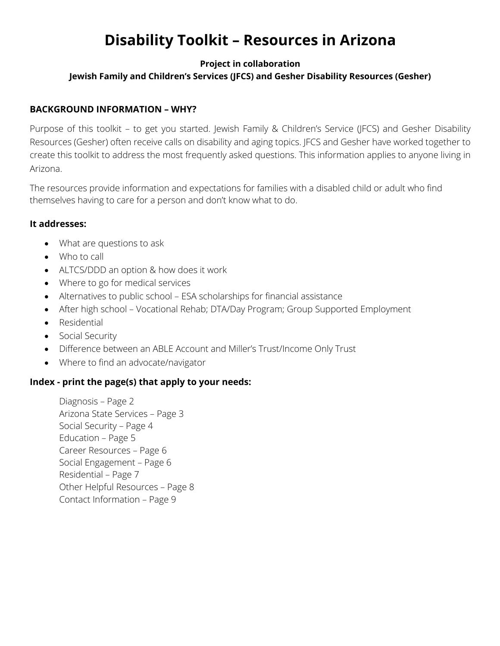# **Disability Toolkit – Resources in Arizona**

#### **Project in collaboration**

### **Jewish Family and Children's Services (JFCS) and Gesher Disability Resources (Gesher)**

#### **BACKGROUND INFORMATION – WHY?**

Purpose of this toolkit – to get you started. Jewish Family & Children's Service (JFCS) and Gesher Disability Resources (Gesher) often receive calls on disability and aging topics. JFCS and Gesher have worked together to create this toolkit to address the most frequently asked questions. This information applies to anyone living in Arizona.

The resources provide information and expectations for families with a disabled child or adult who find themselves having to care for a person and don't know what to do.

#### **It addresses:**

- What are questions to ask
- Who to call
- ALTCS/DDD an option & how does it work
- Where to go for medical services
- Alternatives to public school ESA scholarships for financial assistance
- After high school Vocational Rehab; DTA/Day Program; Group Supported Employment
- Residential
- Social Security
- Difference between an ABLE Account and Miller's Trust/Income Only Trust
- Where to find an advocate/navigator

#### **Index - print the page(s) that apply to your needs:**

Diagnosis – Page 2 Arizona State Services – Page 3 Social Security – Page 4 Education – Page 5 Career Resources – Page 6 Social Engagement – Page 6 Residential – Page 7 Other Helpful Resources – Page 8 Contact Information – Page 9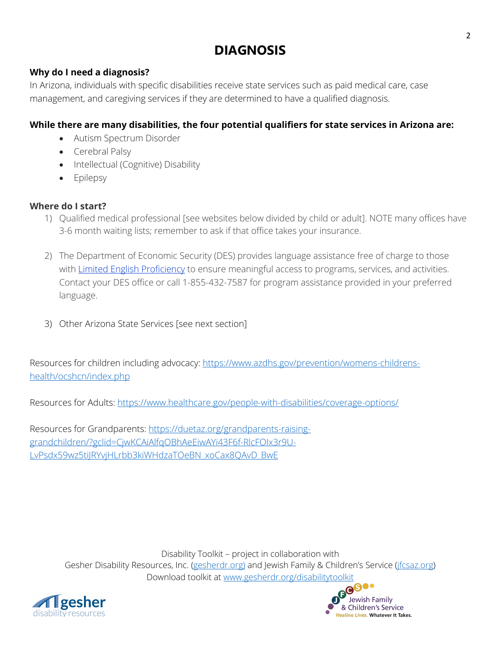## **DIAGNOSIS**

#### **Why do I need a diagnosis?**

In Arizona, individuals with specific disabilities receive state services such as paid medical care, case management, and caregiving services if they are determined to have a qualified diagnosis.

#### **While there are many disabilities, the four potential qualifiers for state services in Arizona are:**

- Autism Spectrum Disorder
- Cerebral Palsy
- Intellectual (Cognitive) Disability
- Epilepsy

#### **Where do I start?**

- 1) Qualified medical professional [see websites below divided by child or adult]. NOTE many offices have 3-6 month waiting lists; remember to ask if that office takes your insurance.
- 2) The Department of Economic Security (DES) provides language assistance free of charge to those with Limited English Proficiency to ensure meaningful access to programs, services, and activities. Contact your DES office or call 1-855-432-7587 for program assistance provided in your preferred language.
- 3) Other Arizona State Services [see next section]

Resources for children including advocacy: https://www.azdhs.gov/prevention/womens-childrenshealth/ocshcn/index.php

Resources for Adults: https://www.healthcare.gov/people-with-disabilities/coverage-options/

Resources for Grandparents: https://duetaz.org/grandparents-raisinggrandchildren/?gclid=CjwKCAiAlfqOBhAeEiwAYi43F6f-RlcFOIx3r9U-LvPsdx59wz5tiJRYvjHLrbb3kiWHdzaTOeBN\_xoCax8OAvD\_BwE



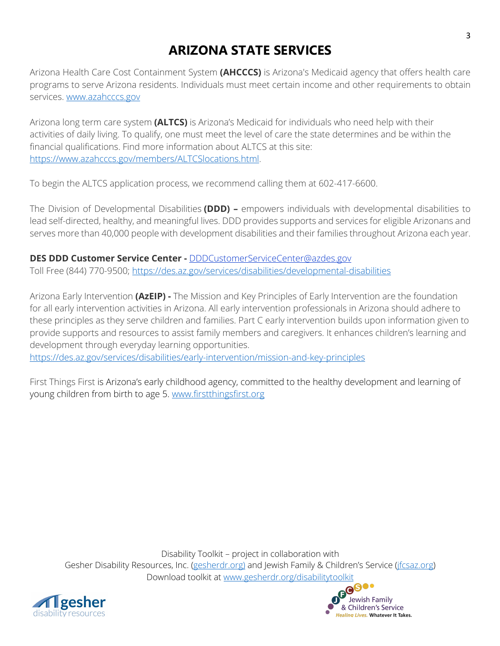### **ARIZONA STATE SERVICES**

Arizona Health Care Cost Containment System **(AHCCCS)** is Arizona's Medicaid agency that offers health care programs to serve Arizona residents. Individuals must meet certain income and other requirements to obtain services. www.azahcccs.gov

Arizona long term care system **(ALTCS)** is Arizona's Medicaid for individuals who need help with their activities of daily living. To qualify, one must meet the level of care the state determines and be within the financial qualifications. Find more information about ALTCS at this site: https://www.azahcccs.gov/members/ALTCSlocations.html.

To begin the ALTCS application process, we recommend calling them at 602-417-6600.

The Division of Developmental Disabilities **(DDD) –** empowers individuals with developmental disabilities to lead self-directed, healthy, and meaningful lives. DDD provides supports and services for eligible Arizonans and serves more than 40,000 people with development disabilities and their families throughout Arizona each year.

**DES DDD Customer Service Center -** DDDCustomerServiceCenter@azdes.gov Toll Free (844) 770-9500; https://des.az.gov/services/disabilities/developmental-disabilities

Arizona Early Intervention **(AzEIP) -** The Mission and Key Principles of Early Intervention are the foundation for all early intervention activities in Arizona. All early intervention professionals in Arizona should adhere to these principles as they serve children and families. Part C early intervention builds upon information given to provide supports and resources to assist family members and caregivers. It enhances children's learning and development through everyday learning opportunities.

https://des.az.gov/services/disabilities/early-intervention/mission-and-key-principles

First Things First is Arizona's early childhood agency, committed to the healthy development and learning of young children from birth to age 5. www.firstthingsfirst.org



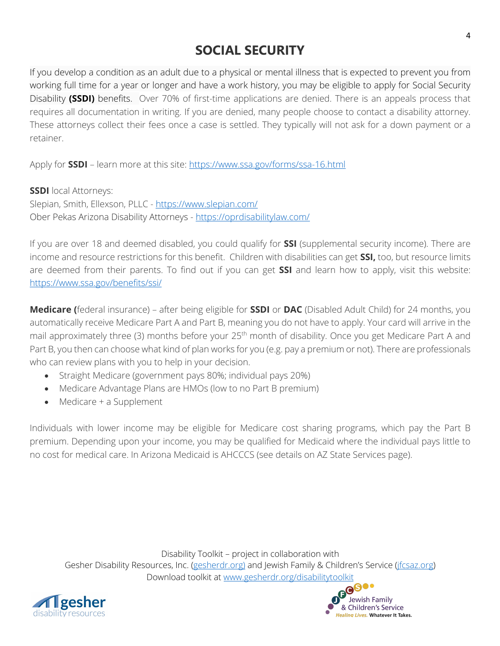## **SOCIAL SECURITY**

If you develop a condition as an adult due to a physical or mental illness that is expected to prevent you from working full time for a year or longer and have a work history, you may be eligible to apply for Social Security Disability **(SSDI)** benefits. Over 70% of first-time applications are denied. There is an appeals process that requires all documentation in writing. If you are denied, many people choose to contact a disability attorney. These attorneys collect their fees once a case is settled. They typically will not ask for a down payment or a retainer.

Apply for **SSDI** – learn more at this site: https://www.ssa.gov/forms/ssa-16.html

**SSDI** local Attorneys: Slepian, Smith, Ellexson, PLLC - https://www.slepian.com/ Ober Pekas Arizona Disability Attorneys - https://oprdisabilitylaw.com/

If you are over 18 and deemed disabled, you could qualify for **SSI** (supplemental security income). There are income and resource restrictions for this benefit. Children with disabilities can get **SSI,** too, but resource limits are deemed from their parents. To find out if you can get **SSI** and learn how to apply, visit this website: https://www.ssa.gov/benefits/ssi/

**Medicare (**federal insurance) – after being eligible for **SSDI** or **DAC** (Disabled Adult Child) for 24 months, you automatically receive Medicare Part A and Part B, meaning you do not have to apply. Your card will arrive in the mail approximately three (3) months before your 25<sup>th</sup> month of disability. Once you get Medicare Part A and Part B, you then can choose what kind of plan works for you (e.g. pay a premium or not). There are professionals who can review plans with you to help in your decision.

- Straight Medicare (government pays 80%; individual pays 20%)
- Medicare Advantage Plans are HMOs (low to no Part B premium)
- Medicare + a Supplement

Individuals with lower income may be eligible for Medicare cost sharing programs, which pay the Part B premium. Depending upon your income, you may be qualified for Medicaid where the individual pays little to no cost for medical care. In Arizona Medicaid is AHCCCS (see details on AZ State Services page).



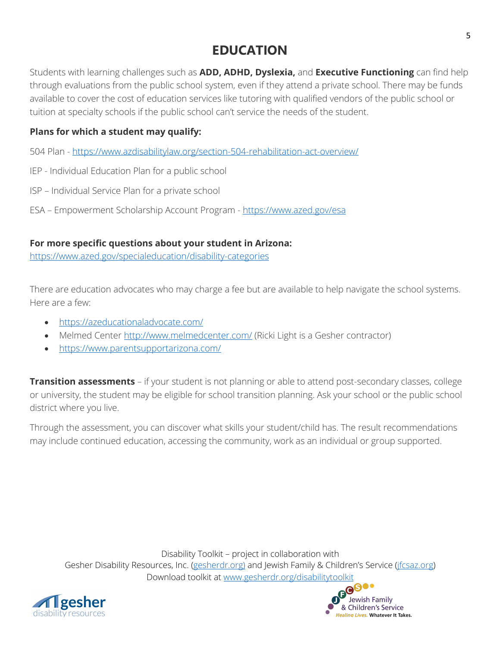### **EDUCATION**

Students with learning challenges such as **ADD, ADHD, Dyslexia,** and **Executive Functioning** can find help through evaluations from the public school system, even if they attend a private school. There may be funds available to cover the cost of education services like tutoring with qualified vendors of the public school or tuition at specialty schools if the public school can't service the needs of the student.

### **Plans for which a student may qualify:**

504 Plan - https://www.azdisabilitylaw.org/section-504-rehabilitation-act-overview/

- IEP Individual Education Plan for a public school
- ISP Individual Service Plan for a private school
- ESA Empowerment Scholarship Account Program https://www.azed.gov/esa

### **For more specific questions about your student in Arizona:**

https://www.azed.gov/specialeducation/disability-categories

There are education advocates who may charge a fee but are available to help navigate the school systems. Here are a few:

- https://azeducationaladvocate.com/
- Melmed Center http://www.melmedcenter.com/ (Ricki Light is a Gesher contractor)
- https://www.parentsupportarizona.com/

**Transition assessments** – if your student is not planning or able to attend post-secondary classes, college or university, the student may be eligible for school transition planning. Ask your school or the public school district where you live.

Through the assessment, you can discover what skills your student/child has. The result recommendations may include continued education, accessing the community, work as an individual or group supported.



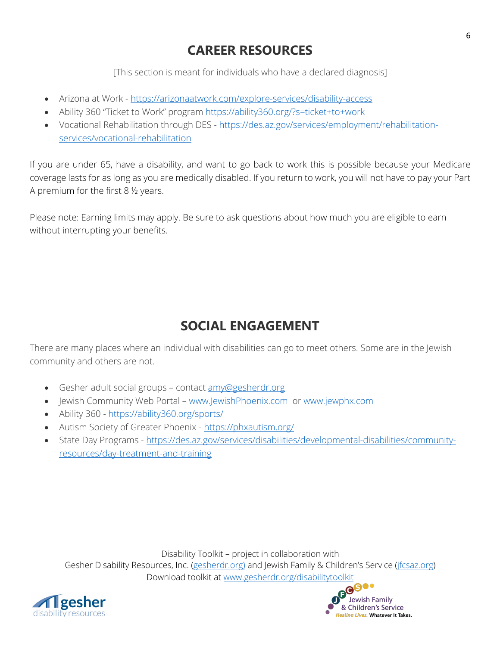### **CAREER RESOURCES**

[This section is meant for individuals who have a declared diagnosis]

- Arizona at Work https://arizonaatwork.com/explore-services/disability-access
- Ability 360 "Ticket to Work" program https://ability360.org/?s=ticket+to+work
- Vocational Rehabilitation through DES https://des.az.gov/services/employment/rehabilitationservices/vocational-rehabilitation

If you are under 65, have a disability, and want to go back to work this is possible because your Medicare coverage lasts for as long as you are medically disabled. If you return to work, you will not have to pay your Part A premium for the first 8 ½ years.

Please note: Earning limits may apply. Be sure to ask questions about how much you are eligible to earn without interrupting your benefits.

## **SOCIAL ENGAGEMENT**

There are many places where an individual with disabilities can go to meet others. Some are in the Jewish community and others are not.

- Gesher adult social groups contact amy@gesherdr.org
- Jewish Community Web Portal www.JewishPhoenix.com or www.jewphx.com
- Ability 360 https://ability360.org/sports/
- Autism Society of Greater Phoenix https://phxautism.org/
- State Day Programs https://des.az.gov/services/disabilities/developmental-disabilities/communityresources/day-treatment-and-training



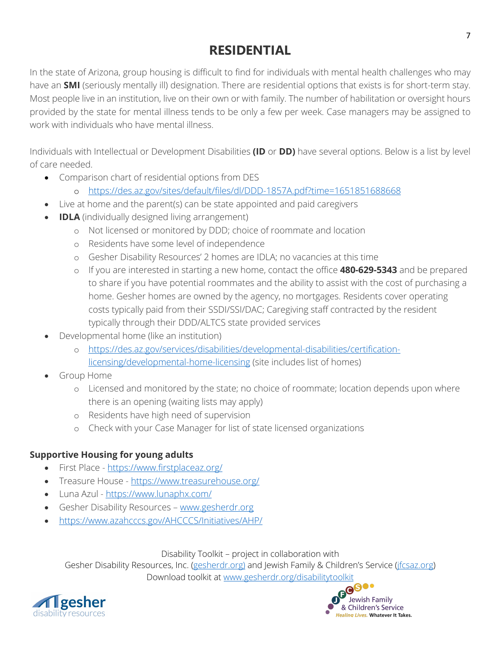### **RESIDENTIAL**

In the state of Arizona, group housing is difficult to find for individuals with mental health challenges who may have an **SMI** (seriously mentally ill) designation. There are residential options that exists is for short-term stay. Most people live in an institution, live on their own or with family. The number of habilitation or oversight hours provided by the state for mental illness tends to be only a few per week. Case managers may be assigned to work with individuals who have mental illness.

Individuals with Intellectual or Development Disabilities **(ID** or **DD)** have several options. Below is a list by level of care needed.

- Comparison chart of residential options from DES
	- o https://des.az.gov/sites/default/files/dl/DDD-1857A.pdf?time=1651851688668
- Live at home and the parent(s) can be state appointed and paid caregivers
- **IDLA** (individually designed living arrangement)
	- o Not licensed or monitored by DDD; choice of roommate and location
	- o Residents have some level of independence
	- o Gesher Disability Resources' 2 homes are IDLA; no vacancies at this time
	- o If you are interested in starting a new home, contact the office **480-629-5343** and be prepared to share if you have potential roommates and the ability to assist with the cost of purchasing a home. Gesher homes are owned by the agency, no mortgages. Residents cover operating costs typically paid from their SSDI/SSI/DAC; Caregiving staff contracted by the resident typically through their DDD/ALTCS state provided services
- Developmental home (like an institution)
	- o https://des.az.gov/services/disabilities/developmental-disabilities/certificationlicensing/developmental-home-licensing (site includes list of homes)
- Group Home
	- o Licensed and monitored by the state; no choice of roommate; location depends upon where there is an opening (waiting lists may apply)
	- o Residents have high need of supervision
	- o Check with your Case Manager for list of state licensed organizations

### **Supportive Housing for young adults**

- First Place https://www.firstplaceaz.org/
- Treasure House https://www.treasurehouse.org/
- Luna Azul https://www.lunaphx.com/
- Gesher Disability Resources www.gesherdr.org
- https://www.azahcccs.gov/AHCCCS/Initiatives/AHP/

Disability Toolkit – project in collaboration with

Gesher Disability Resources, Inc. (gesherdr.org) and Jewish Family & Children's Service (*jfcsaz.org*) Download toolkit at www.gesherdr.org/disabilitytoolkit



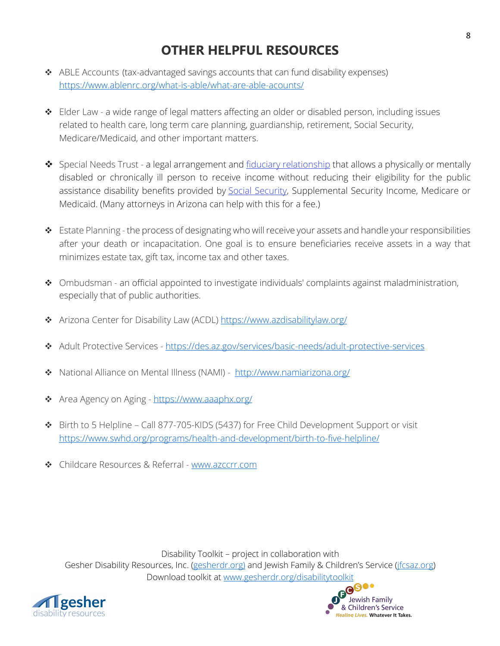### **OTHER HELPFUL RESOURCES**

- \* ABLE Accounts (tax-advantaged savings accounts that can fund disability expenses) https://www.ablenrc.org/what-is-able/what-are-able-acounts/
- \* Elder Law a wide range of legal matters affecting an older or disabled person, including issues related to health care, long term care planning, guardianship, retirement, Social Security, Medicare/Medicaid, and other important matters.
- $\dots$  Special Needs Trust a legal arrangement and fiduciary relationship that allows a physically or mentally disabled or chronically ill person to receive income without reducing their eligibility for the public assistance disability benefits provided by Social Security, Supplemental Security Income, Medicare or Medicaid. (Many attorneys in Arizona can help with this for a fee.)
- v Estate Planning the process of designating who will receive your assets and handle your responsibilities after your death or incapacitation. One goal is to ensure beneficiaries receive assets in a way that minimizes estate tax, gift tax, income tax and other taxes.
- \* Ombudsman an official appointed to investigate individuals' complaints against maladministration, especially that of public authorities.
- \* Arizona Center for Disability Law (ACDL) https://www.azdisabilitylaw.org/
- v Adult Protective Services https://des.az.gov/services/basic-needs/adult-protective-services
- \* National Alliance on Mental Illness (NAMI) http://www.namiarizona.org/
- \* Area Agency on Aging https://www.aaaphx.org/
- v Birth to 5 Helpline Call 877-705-KIDS (5437) for Free Child Development Support or visit https://www.swhd.org/programs/health-and-development/birth-to-five-helpline/
- ◆ Childcare Resources & Referral www.azccrr.com